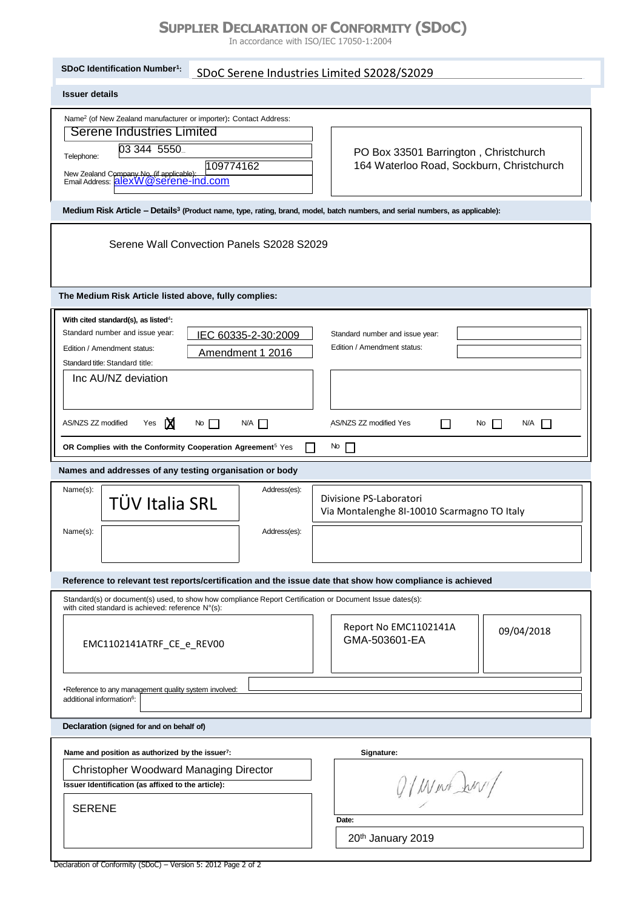## **SUPPLIER DECLARATION OF CONFORMITY (SDOC)**

In accordance with ISO/IEC 17050-1:2004

| SDoC Identification Number <sup>1</sup> :                                                                                                                                                                                                                                                 | SDoC Serene Industries Limited S2028/S2029 |                                                                                    |            |  |
|-------------------------------------------------------------------------------------------------------------------------------------------------------------------------------------------------------------------------------------------------------------------------------------------|--------------------------------------------|------------------------------------------------------------------------------------|------------|--|
| <b>Issuer details</b>                                                                                                                                                                                                                                                                     |                                            |                                                                                    |            |  |
| Name <sup>2</sup> (of New Zealand manufacturer or importer): Contact Address:<br>Serene Industries Limited<br>03 344 5550<br>Telephone:<br>109774162<br>New Zealand Company No. (if applicable): [1999]<br>Email Address: [21exW@Serene-Ind.com                                           |                                            | PO Box 33501 Barrington, Christchurch<br>164 Waterloo Road, Sockburn, Christchurch |            |  |
| Medium Risk Article - Details <sup>3</sup> (Product name, type, rating, brand, model, batch numbers, and serial numbers, as applicable):                                                                                                                                                  |                                            |                                                                                    |            |  |
| Serene Wall Convection Panels S2028 S2029                                                                                                                                                                                                                                                 |                                            |                                                                                    |            |  |
| The Medium Risk Article listed above, fully complies:                                                                                                                                                                                                                                     |                                            |                                                                                    |            |  |
| With cited standard(s), as listed <sup>4</sup> :<br>Standard number and issue year:<br>IEC 60335-2-30:2009<br>Standard number and issue year:<br>Edition / Amendment status:<br>Edition / Amendment status:<br>Amendment 1 2016<br>Standard title: Standard title:<br>Inc AU/NZ deviation |                                            |                                                                                    |            |  |
| ⊠<br>AS/NZS ZZ modified<br>Yes<br>$\mathsf{No}$<br>$N/A$ $\Box$<br>AS/NZS ZZ modified Yes<br>N/A<br>ΙI<br>No<br>$\perp$                                                                                                                                                                   |                                            |                                                                                    |            |  |
| OR Complies with the Conformity Cooperation Agreement <sup>5</sup> Yes<br>$\mathsf{N} \circ \mathsf{N}$                                                                                                                                                                                   |                                            |                                                                                    |            |  |
| Names and addresses of any testing organisation or body                                                                                                                                                                                                                                   |                                            |                                                                                    |            |  |
| Name(s):<br><b>TÜV Italia SRL</b><br>Name(s):                                                                                                                                                                                                                                             | Address(es):<br>Address(es):               | Divisione PS-Laboratori<br>Via Montalenghe 8I-10010 Scarmagno TO Italy             |            |  |
| Reference to relevant test reports/certification and the issue date that show how compliance is achieved                                                                                                                                                                                  |                                            |                                                                                    |            |  |
| Standard(s) or document(s) used, to show how compliance Report Certification or Document Issue dates(s):<br>with cited standard is achieved: reference N°(s):                                                                                                                             |                                            |                                                                                    |            |  |
| EMC1102141ATRF_CE_e_REV00                                                                                                                                                                                                                                                                 |                                            | Report No EMC1102141A<br>GMA-503601-EA                                             | 09/04/2018 |  |
| •Reference to any management quality system involved:<br>additional information <sup>6</sup> :                                                                                                                                                                                            |                                            |                                                                                    |            |  |
| Declaration (signed for and on behalf of)                                                                                                                                                                                                                                                 |                                            |                                                                                    |            |  |
| Name and position as authorized by the issuer <sup>7</sup> :<br>Signature:                                                                                                                                                                                                                |                                            |                                                                                    |            |  |
| <b>Christopher Woodward Managing Director</b><br>Q/ West Jury<br>Issuer Identification (as affixed to the article):                                                                                                                                                                       |                                            |                                                                                    |            |  |
| <b>SERENE</b>                                                                                                                                                                                                                                                                             |                                            | Date:                                                                              |            |  |
| 20th January 2019                                                                                                                                                                                                                                                                         |                                            |                                                                                    |            |  |